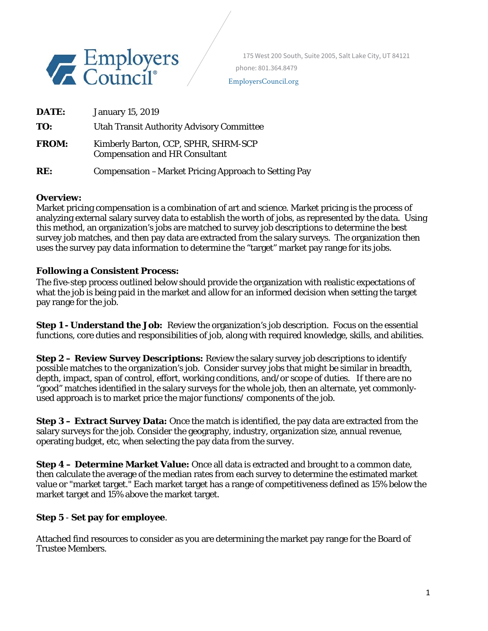

EmployersCouncil.org

| DATE:        | <b>January 15, 2019</b>                                                       |
|--------------|-------------------------------------------------------------------------------|
| TO:          | <b>Utah Transit Authority Advisory Committee</b>                              |
| <b>FROM:</b> | Kimberly Barton, CCP, SPHR, SHRM-SCP<br><b>Compensation and HR Consultant</b> |
| RE:          | Compensation - Market Pricing Approach to Setting Pay                         |

#### **Overview:**

Market pricing compensation is a combination of art and science. Market pricing is the process of analyzing external salary survey data to establish the worth of jobs, as represented by the data. Using this method, an organization's jobs are matched to survey job descriptions to determine the best survey job matches, and then pay data are extracted from the salary surveys. The organization then uses the survey pay data information to determine the "target" market pay range for its jobs.

## **Following a Consistent Process:**

The five-step process outlined below should provide the organization with realistic expectations of what the job is being paid in the market and allow for an informed decision when setting the target pay range for the job.

**Step 1 - Understand the Job:** Review the organization's job description. Focus on the essential functions, core duties and responsibilities of job, along with required knowledge, skills, and abilities.

**Step 2 – Review Survey Descriptions:** Review the salary survey job descriptions to identify possible matches to the organization's job. Consider survey jobs that might be similar in breadth, depth, impact, span of control, effort, working conditions, and/or scope of duties. If there are no "good" matches identified in the salary surveys for the whole job, then an alternate, yet commonlyused approach is to market price the major functions/ components of the job.

**Step 3 – Extract Survey Data:** Once the match is identified, the pay data are extracted from the salary surveys for the job. Consider the geography, industry, organization size, annual revenue, operating budget, etc, when selecting the pay data from the survey.

**Step 4 – Determine Market Value:** Once all data is extracted and brought to a common date, then calculate the average of the median rates from each survey to determine the estimated market value or "market target." Each market target has a range of competitiveness defined as 15% below the market target and 15% above the market target.

## **Step 5** - **Set pay for employee**.

Attached find resources to consider as you are determining the market pay range for the Board of Trustee Members.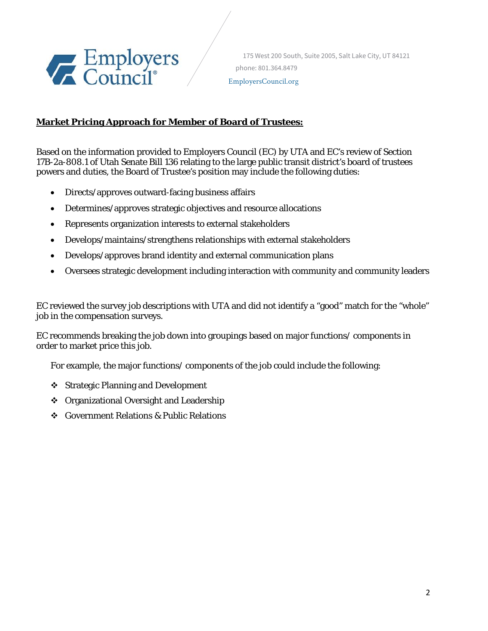

 175 West 200 South, Suite 2005, Salt Lake City, UT 84121 phone: 801.364.8479 EmployersCouncil.org

# **Market Pricing Approach for Member of Board of Trustees:**

Based on the information provided to Employers Council (EC) by UTA and EC's review of Section 17B-2a-808.1 of Utah Senate Bill 136 relating to the large public transit district's board of trustees powers and duties, the Board of Trustee's position may include the following duties:

- Directs/approves outward-facing business affairs
- Determines/approves strategic objectives and resource allocations
- Represents organization interests to external stakeholders
- Develops/maintains/strengthens relationships with external stakeholders
- Develops/approves brand identity and external communication plans
- Oversees strategic development including interaction with community and community leaders

EC reviewed the survey job descriptions with UTA and did not identify a "good" match for the "whole" job in the compensation surveys.

EC recommends breaking the job down into groupings based on major functions/ components in order to market price this job.

For example, the major functions/ components of the job could include the following:

- ❖ Strategic Planning and Development
- ❖ Organizational Oversight and Leadership
- Government Relations & Public Relations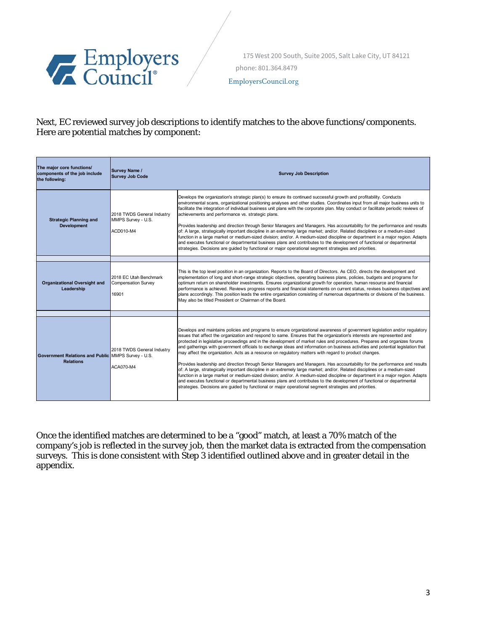

EmployersCouncil.org

Next, EC reviewed survey job descriptions to identify matches to the above functions/components. Here are potential matches by component:

| The major core functions/<br>components of the job include<br>the following: | <b>Survey Name /</b><br><b>Survey Job Code</b>                | <b>Survey Job Description</b>                                                                                                                                                                                                                                                                                                                                                                                                                                                                                                                                                                                                                                                                                                                                                                                                                                                                                                                                                                                                                                                                                                                                                                                                                                       |  |  |  |  |
|------------------------------------------------------------------------------|---------------------------------------------------------------|---------------------------------------------------------------------------------------------------------------------------------------------------------------------------------------------------------------------------------------------------------------------------------------------------------------------------------------------------------------------------------------------------------------------------------------------------------------------------------------------------------------------------------------------------------------------------------------------------------------------------------------------------------------------------------------------------------------------------------------------------------------------------------------------------------------------------------------------------------------------------------------------------------------------------------------------------------------------------------------------------------------------------------------------------------------------------------------------------------------------------------------------------------------------------------------------------------------------------------------------------------------------|--|--|--|--|
| <b>Strategic Planning and</b><br><b>Development</b>                          | 2018 TWDS General Industry<br>MMPS Survey - U.S.<br>ACD010-M4 | Develops the organization's strategic plan(s) to ensure its continued successful growth and profitability. Conducts<br>environmental scans, organizational positioning analyses and other studies. Coordinates input from all major business units to<br>facilitate the integration of individual business unit plans with the corporate plan. May conduct or facilitate periodic reviews of<br>achievements and performance vs. strategic plans.<br>Provides leadership and direction through Senior Managers and Managers. Has accountability for the performance and results<br>of: A large, strategically important discipline in an extremely large market; and/or. Related disciplines or a medium-sized<br>function in a large market or medium-sized division; and/or. A medium-sized discipline or department in a major region. Adapts<br>and executes functional or departmental business plans and contributes to the development of functional or departmental<br>strategies. Decisions are guided by functional or major operational segment strategies and priorities.                                                                                                                                                                               |  |  |  |  |
| <b>Organizational Oversight and</b><br>Leadership                            | 2018 EC Utah Benchmark<br><b>Compensation Survey</b><br>16901 | This is the top level position in an organization. Reports to the Board of Directors. As CEO, directs the development and<br>implementation of long and short-range strategic objectives, operating business plans, policies, budgets and programs for<br>optimum return on shareholder investments. Ensures organizational growth for operation, human resource and financial<br>performance is achieved. Reviews progress reports and financial statements on current status, revises business objectives and<br>plans accordingly. This position leads the entire organization consisting of numerous departments or divisions of the business.<br>May also be titled President or Chairman of the Board.                                                                                                                                                                                                                                                                                                                                                                                                                                                                                                                                                        |  |  |  |  |
|                                                                              |                                                               |                                                                                                                                                                                                                                                                                                                                                                                                                                                                                                                                                                                                                                                                                                                                                                                                                                                                                                                                                                                                                                                                                                                                                                                                                                                                     |  |  |  |  |
| Government Relations and Public MMPS Survey - U.S.<br><b>Relations</b>       | 2018 TWDS General Industry<br>ACA070-M4                       | Develops and maintains policies and programs to ensure organizational awareness of government legislation and/or regulatory<br>issues that affect the organization and respond to same. Ensures that the organization's interests are represented and<br>protected in legislative proceedings and in the development of market rules and procedures. Prepares and organizes forums<br>and gatherings with government officials to exchange ideas and information on business activities and potential legislation that<br>may affect the organization. Acts as a resource on regulatory matters with regard to product changes.<br>Provides leadership and direction through Senior Managers and Managers. Has accountability for the performance and results<br>of: A large, strategically important discipline in an extremely large market; and/or. Related disciplines or a medium-sized<br>function in a large market or medium-sized division; and/or. A medium-sized discipline or department in a major region. Adapts<br>and executes functional or departmental business plans and contributes to the development of functional or departmental<br>strategies. Decisions are quided by functional or major operational segment strategies and priorities. |  |  |  |  |

Once the identified matches are determined to be a "good" match, at least a 70% match of the company's job is reflected in the survey job, then the market data is extracted from the compensation surveys. This is done consistent with Step 3 identified outlined above and in greater detail in the appendix.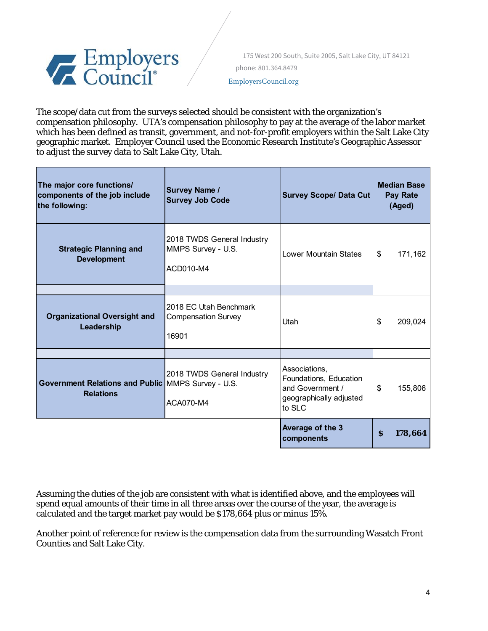

EmployersCouncil.org

The scope/data cut from the surveys selected should be consistent with the organization's compensation philosophy. UTA's compensation philosophy to pay at the average of the labor market which has been defined as transit, government, and not-for-profit employers within the Salt Lake City geographic market. Employer Council used the Economic Research Institute's Geographic Assessor to adjust the survey data to Salt Lake City, Utah.

| The major core functions/<br>components of the job include<br>the following: | <b>Survey Name /</b><br><b>Survey Job Code</b>                | <b>Survey Scope/ Data Cut</b>                                                                    | <b>Median Base</b><br><b>Pay Rate</b><br>(Aged) |         |  |
|------------------------------------------------------------------------------|---------------------------------------------------------------|--------------------------------------------------------------------------------------------------|-------------------------------------------------|---------|--|
| <b>Strategic Planning and</b><br><b>Development</b>                          | 2018 TWDS General Industry<br>MMPS Survey - U.S.<br>ACD010-M4 | Lower Mountain States                                                                            | \$                                              | 171,162 |  |
| <b>Organizational Oversight and</b><br>Leadership                            | 2018 EC Utah Benchmark<br><b>Compensation Survey</b><br>16901 | Utah                                                                                             | \$                                              | 209,024 |  |
| Government Relations and Public MMPS Survey - U.S.<br><b>Relations</b>       | 2018 TWDS General Industry<br>ACA070-M4                       | Associations,<br>Foundations, Education<br>and Government /<br>geographically adjusted<br>to SLC | \$                                              | 155,806 |  |
|                                                                              |                                                               | Average of the 3<br>components                                                                   | S                                               | 178,664 |  |

Assuming the duties of the job are consistent with what is identified above, and the employees will spend equal amounts of their time in all three areas over the course of the year, the average is calculated and the target market pay would be \$178,664 plus or minus 15%.

Another point of reference for review is the compensation data from the surrounding Wasatch Front Counties and Salt Lake City.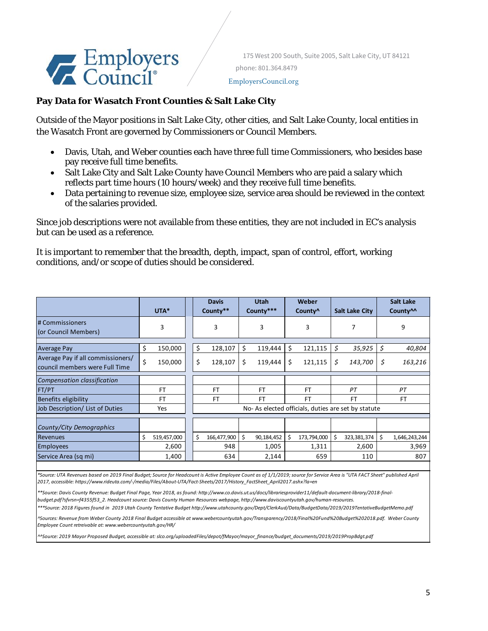# Employers

 175 West 200 South, Suite 2005, Salt Lake City, UT 84121 phone: 801.364.8479

#### EmployersCouncil.org

# **Pay Data for Wasatch Front Counties & Salt Lake City**

Outside of the Mayor positions in Salt Lake City, other cities, and Salt Lake County, local entities in the Wasatch Front are governed by Commissioners or Council Members.

- Davis, Utah, and Weber counties each have three full time Commissioners, who besides base pay receive full time benefits.
- Salt Lake City and Salt Lake County have Council Members who are paid a salary which reflects part time hours (10 hours/week) and they receive full time benefits.
- Data pertaining to revenue size, employee size, service area should be reviewed in the context of the salaries provided.

Since job descriptions were not available from these entities, they are not included in EC's analysis but can be used as a reference.

It is important to remember that the breadth, depth, impact, span of control, effort, working conditions, and/or scope of duties should be considered.

|                                                                     | UTA*             |  | <b>Davis</b><br>County** |                                                    | <b>Utah</b><br>County*** |    | Weber<br>County <sup>^</sup> |    | <b>Salt Lake City</b> |           | <b>Salt Lake</b><br>County <sup>11</sup> |  |  |
|---------------------------------------------------------------------|------------------|--|--------------------------|----------------------------------------------------|--------------------------|----|------------------------------|----|-----------------------|-----------|------------------------------------------|--|--|
| # Commissioners<br>(or Council Members)                             | 3                |  | 3                        |                                                    | 3                        |    | 3                            | 7  |                       | 9         |                                          |  |  |
| <b>Average Pay</b>                                                  | \$<br>150,000    |  | \$<br>128,107            | \$                                                 | 119,444                  | Ś. | 121,115                      | Ś  | 35,925                | S.        | 40,804                                   |  |  |
| Average Pay if all commissioners/<br>council members were Full Time | \$<br>150,000    |  | \$<br>128,107            | \$                                                 | 119,444                  | \$ | 121,115                      | Ś. | 143,700               | \$        | 163,216                                  |  |  |
| <b>Compensation classification</b>                                  |                  |  |                          |                                                    |                          |    |                              |    |                       |           |                                          |  |  |
| FT/PT                                                               | FT               |  | <b>FT</b>                |                                                    | <b>FT</b>                |    | <b>FT</b>                    | PT |                       |           | PT                                       |  |  |
| Benefits eligibility                                                | <b>FT</b>        |  | <b>FT</b>                |                                                    | <b>FT</b>                |    | <b>FT</b><br><b>FT</b>       |    |                       | <b>FT</b> |                                          |  |  |
| Job Description/ List of Duties                                     | Yes              |  |                          | No-As elected officials, duties are set by statute |                          |    |                              |    |                       |           |                                          |  |  |
|                                                                     |                  |  |                          |                                                    |                          |    |                              |    |                       |           |                                          |  |  |
| County/City Demographics                                            |                  |  |                          |                                                    |                          |    |                              |    |                       |           |                                          |  |  |
| <b>Revenues</b>                                                     | Ś<br>519,457,000 |  | Ś<br>166,477,900         | Ŝ.                                                 | 90,184,452               | Ś  | 173,794,000                  |    | 323,381,374           | Ŝ.        | 1,646,243,244                            |  |  |
| <b>Employees</b>                                                    | 2,600            |  | 948                      |                                                    | 1,005                    |    | 1,311                        |    | 2,600                 |           | 3,969                                    |  |  |
| Service Area (sq mi)                                                | 1,400            |  | 634                      |                                                    | 2,144                    |    | 659                          |    | 110                   |           | 807                                      |  |  |

\*Source: UTA Revenues based on 2019 Final Budget; Source for Headcount is Active Employee Count as of 1/1/2019; source for Service Area is "UTA FACT Sheet" published April *2017, accessible: https://www.rideuta.com/‐/media/Files/About‐UTA/Fact‐Sheets/2017/History\_FactSheet\_April2017.ashx?la=en*

\*\*Source: Davis County Revenue: Budget Final Page, Year 2018, as found: http://www.co.davis.ut.us/docs/librariesprovider11/default-document-library/2018-final*budget.pdf?sfvrsn=f4355f53\_2. Headcount source: Davis County Human Resources webpage, http://www.daviscountyutah.gov/human‐resources.*

\*\*\*Source: 2018 Figures found in 2019 Utah County Tentative Budget http://www.utahcounty.gov/Dept/ClerkAud/Data/BudgetData/2019/2019TentativeBudgetMemo.pdf

~<br>^Sources: Revenue from Weber County 2018 Final Budget accessible at www.webercountyutah.gov/Transparency/2018/Final%20Fund%20Budget%202018.pdf. Weber County *Employee Count retreivable at: www.webercountyutah.gov/HR/*

*^^Source: 2019 Mayor Proposed Budget, accessible at: slco.org/uploadedFiles/depot/fMayor/mayor\_finance/budget\_documents/2019/2019PropBdgt.pdf*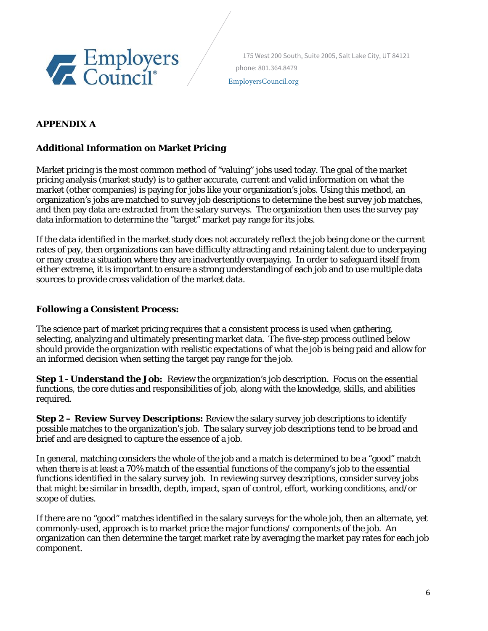

EmployersCouncil.org

# **APPENDIX A**

# **Additional Information on Market Pricing**

Market pricing is the most common method of "valuing" jobs used today. The goal of the market pricing analysis (market study) is to gather accurate, current and valid information on what the market (other companies) is paying for jobs like your organization's jobs. Using this method, an organization's jobs are matched to survey job descriptions to determine the best survey job matches, and then pay data are extracted from the salary surveys. The organization then uses the survey pay data information to determine the "target" market pay range for its jobs.

If the data identified in the market study does not accurately reflect the job being done or the current rates of pay, then organizations can have difficulty attracting and retaining talent due to underpaying or may create a situation where they are inadvertently overpaying. In order to safeguard itself from either extreme, it is important to ensure a strong understanding of each job and to use multiple data sources to provide cross validation of the market data.

## **Following a Consistent Process:**

The science part of market pricing requires that a consistent process is used when gathering, selecting, analyzing and ultimately presenting market data. The five-step process outlined below should provide the organization with realistic expectations of what the job is being paid and allow for an informed decision when setting the target pay range for the job.

**Step 1 - Understand the Job:** Review the organization's job description. Focus on the essential functions, the core duties and responsibilities of job, along with the knowledge, skills, and abilities required.

**Step 2 – Review Survey Descriptions:** Review the salary survey job descriptions to identify possible matches to the organization's job. The salary survey job descriptions tend to be broad and brief and are designed to capture the essence of a job.

In general, matching considers the whole of the job and a match is determined to be a "good" match when there is at least a 70% match of the essential functions of the company's job to the essential functions identified in the salary survey job. In reviewing survey descriptions, consider survey jobs that might be similar in breadth, depth, impact, span of control, effort, working conditions, and/or scope of duties.

If there are no "good" matches identified in the salary surveys for the whole job, then an alternate, yet commonly-used, approach is to market price the major functions/ components of the job. An organization can then determine the target market rate by averaging the market pay rates for each job component.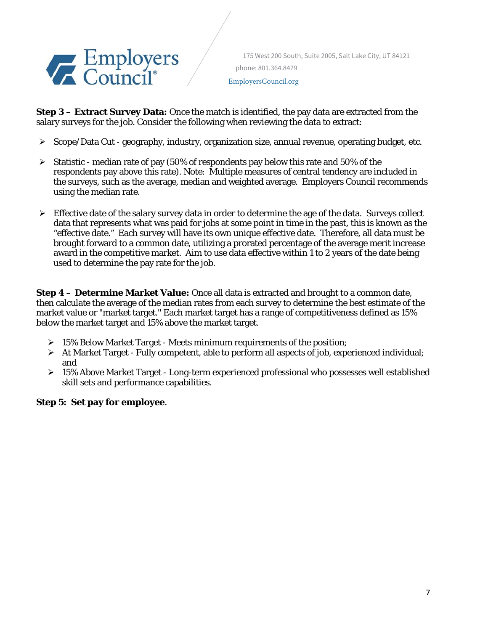

 175 West 200 South, Suite 2005, Salt Lake City, UT 84121 phone: 801.364.8479 EmployersCouncil.org

**Step 3 – Extract Survey Data:** Once the match is identified, the pay data are extracted from the salary surveys for the job. Consider the following when reviewing the data to extract:

- $\triangleright$  Scope/Data Cut geography, industry, organization size, annual revenue, operating budget, etc.
- $\triangleright$  Statistic median rate of pay (50% of respondents pay below this rate and 50% of the respondents pay above this rate). Note: Multiple measures of central tendency are included in the surveys, such as the average, median and weighted average. Employers Council recommends using the median rate.
- $\triangleright$  Effective date of the salary survey data in order to determine the age of the data. Surveys collect data that represents what was paid for jobs at some point in time in the past, this is known as the "effective date." Each survey will have its own unique effective date. Therefore, all data must be brought forward to a common date, utilizing a prorated percentage of the average merit increase award in the competitive market. Aim to use data effective within 1 to 2 years of the date being used to determine the pay rate for the job.

**Step 4 – Determine Market Value:** Once all data is extracted and brought to a common date, then calculate the average of the median rates from each survey to determine the best estimate of the market value or "market target." Each market target has a range of competitiveness defined as 15% below the market target and 15% above the market target.

- $\geq 15\%$  Below Market Target Meets minimum requirements of the position;
- $\triangleright$  At Market Target Fully competent, able to perform all aspects of job, experienced individual; and
- $\geq 15\%$  Above Market Target Long-term experienced professional who possesses well established skill sets and performance capabilities.

## **Step 5: Set pay for employee**.